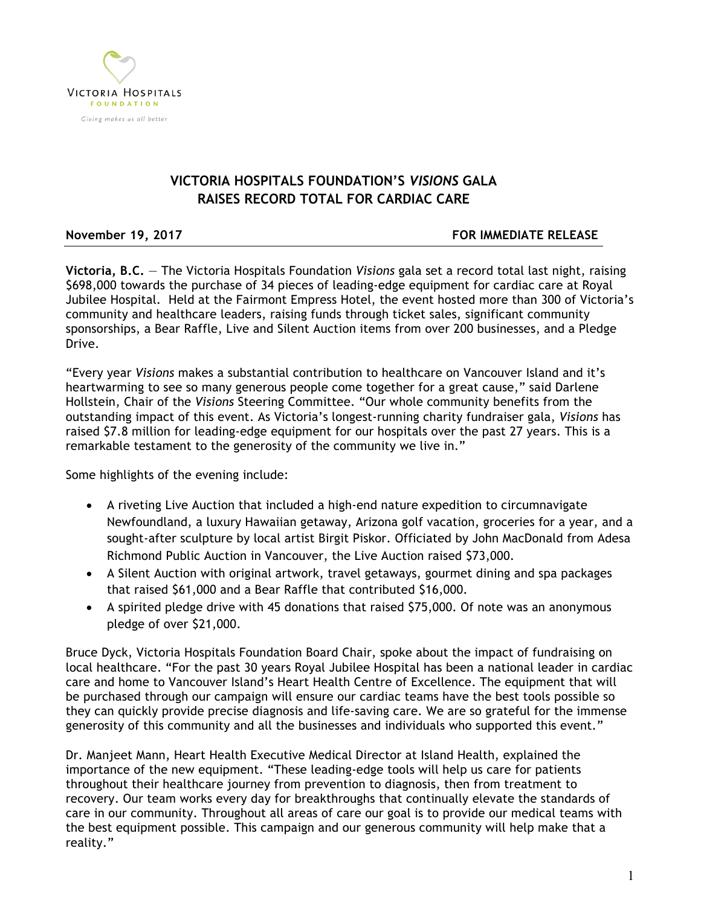

## **VICTORIA HOSPITALS FOUNDATION'S** *VISIONS* **GALA RAISES RECORD TOTAL FOR CARDIAC CARE**

**November 19, 2017 FOR IMMEDIATE RELEASE**

**Victoria, B.C.** — The Victoria Hospitals Foundation *Visions* gala set a record total last night, raising \$698,000 towards the purchase of 34 pieces of leading-edge equipment for cardiac care at Royal Jubilee Hospital. Held at the Fairmont Empress Hotel, the event hosted more than 300 of Victoria's community and healthcare leaders, raising funds through ticket sales, significant community sponsorships, a Bear Raffle, Live and Silent Auction items from over 200 businesses, and a Pledge Drive.

"Every year *Visions* makes a substantial contribution to healthcare on Vancouver Island and it's heartwarming to see so many generous people come together for a great cause," said Darlene Hollstein, Chair of the *Visions* Steering Committee. "Our whole community benefits from the outstanding impact of this event. As Victoria's longest-running charity fundraiser gala, *Visions* has raised \$7.8 million for leading-edge equipment for our hospitals over the past 27 years. This is a remarkable testament to the generosity of the community we live in."

Some highlights of the evening include:

- A riveting Live Auction that included a high-end nature expedition to circumnavigate Newfoundland, a luxury Hawaiian getaway, Arizona golf vacation, groceries for a year, and a sought-after sculpture by local artist Birgit Piskor. Officiated by John MacDonald from Adesa Richmond Public Auction in Vancouver, the Live Auction raised \$73,000.
- A Silent Auction with original artwork, travel getaways, gourmet dining and spa packages that raised \$61,000 and a Bear Raffle that contributed \$16,000.
- A spirited pledge drive with 45 donations that raised \$75,000. Of note was an anonymous pledge of over \$21,000.

Bruce Dyck, Victoria Hospitals Foundation Board Chair, spoke about the impact of fundraising on local healthcare. "For the past 30 years Royal Jubilee Hospital has been a national leader in cardiac care and home to Vancouver Island's Heart Health Centre of Excellence. The equipment that will be purchased through our campaign will ensure our cardiac teams have the best tools possible so they can quickly provide precise diagnosis and life-saving care. We are so grateful for the immense generosity of this community and all the businesses and individuals who supported this event."

Dr. Manjeet Mann, Heart Health Executive Medical Director at Island Health, explained the importance of the new equipment. "These leading-edge tools will help us care for patients throughout their healthcare journey from prevention to diagnosis, then from treatment to recovery. Our team works every day for breakthroughs that continually elevate the standards of care in our community. Throughout all areas of care our goal is to provide our medical teams with the best equipment possible. This campaign and our generous community will help make that a reality."